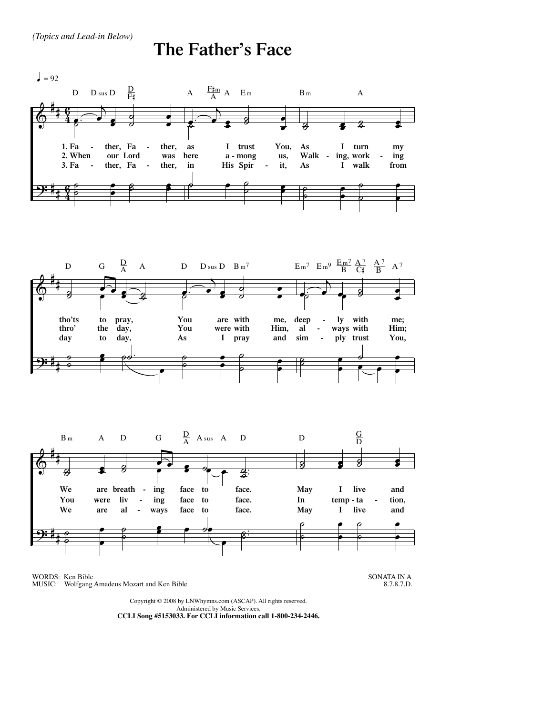## **The Father's Face**



WORDS: Ken Bible MUSIC: Wolfgang Amadeus Mozart and Ken Bible

SONATA IN A 8.7.8.7.D.

Copyright © 2008 by LNWhymns.com (ASCAP). All rights reserved. Administered by Music Services. **CCLI Song #5153033. For CCLI information call 1-800-234-2446.**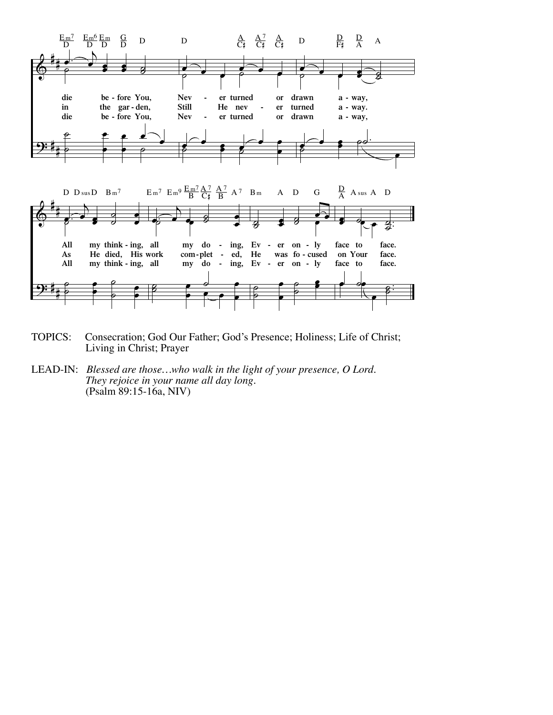

- TOPICS: Consecration; God Our Father; God's Presence; Holiness; Life of Christ; Living in Christ; Prayer
- LEAD-IN: Blessed are those...who walk in the light of your presence, O Lord. They rejoice in your name all day long. (Psalm 89:15-16a, NIV)